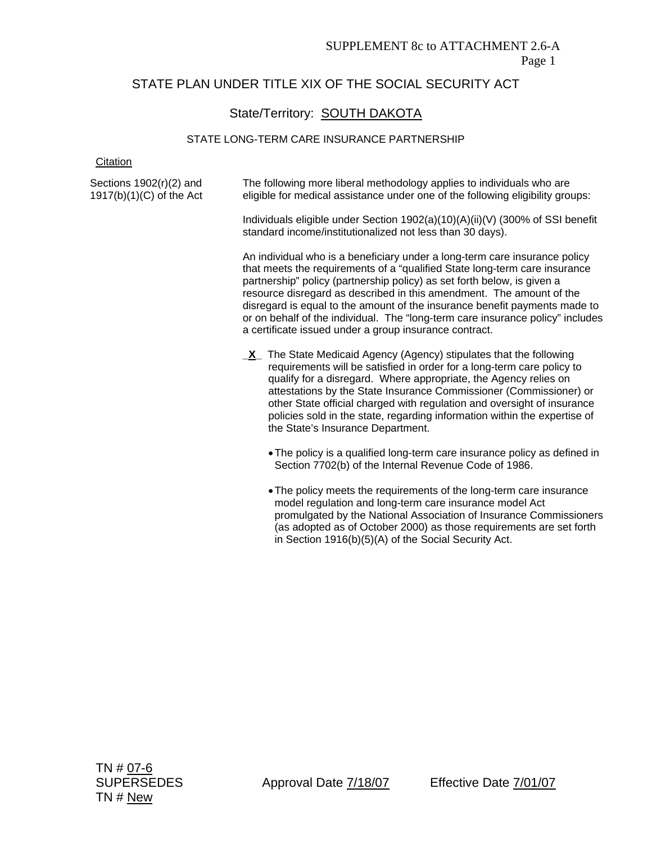# STATE PLAN UNDER TITLE XIX OF THE SOCIAL SECURITY ACT

# State/Territory: SOUTH DAKOTA

#### STATE LONG-TERM CARE INSURANCE PARTNERSHIP

**Citation** 

Sections 1902(r)(2) and 1917(b)(1)(C) of the Act The following more liberal methodology applies to individuals who are eligible for medical assistance under one of the following eligibility groups: Individuals eligible under Section 1902(a)(10)(A)(ii)(V) (300% of SSI benefit standard income/institutionalized not less than 30 days). An individual who is a beneficiary under a long-term care insurance policy that meets the requirements of a "qualified State long-term care insurance partnership" policy (partnership policy) as set forth below, is given a resource disregard as described in this amendment. The amount of the disregard is equal to the amount of the insurance benefit payments made to or on behalf of the individual. The "long-term care insurance policy" includes a certificate issued under a group insurance contract. **X\_ The State Medicaid Agency (Agency) stipulates that the following** requirements will be satisfied in order for a long-term care policy to qualify for a disregard. Where appropriate, the Agency relies on attestations by the State Insurance Commissioner (Commissioner) or other State official charged with regulation and oversight of insurance policies sold in the state, regarding information within the expertise of the State's Insurance Department. • The policy is a qualified long-term care insurance policy as defined in Section 7702(b) of the Internal Revenue Code of 1986. • The policy meets the requirements of the long-term care insurance model regulation and long-term care insurance model Act promulgated by the National Association of Insurance Commissioners (as adopted as of October 2000) as those requirements are set forth

in Section 1916(b)(5)(A) of the Social Security Act.